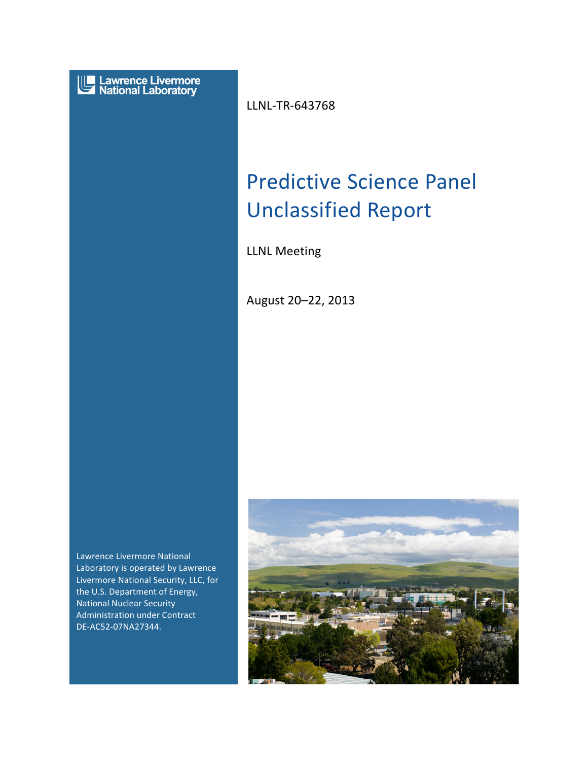

LLNL-TR-643768

#### $\overline{1}$ Predictive Science Panel  $\overline{\phantom{a}}$  $\overline{\phantom{a}}$ Unclassified Report

LLNL Meeting

August 20-22, 2013

Lawrence Livermore National Laboratory is operated by Lawrence Livermore National Security, LLC, for the U.S. Department of Energy, **National Nuclear Security** Administration under Contract DE-AC52-07NA27344.

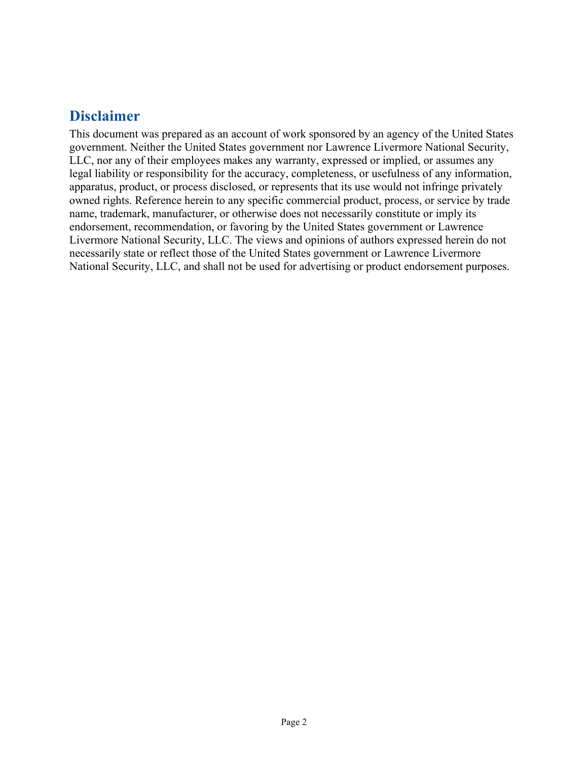# **Disclaimer**

This document was prepared as an account of work sponsored by an agency of the United States government. Neither the United States government nor Lawrence Livermore National Security, LLC, nor any of their employees makes any warranty, expressed or implied, or assumes any legal liability or responsibility for the accuracy, completeness, or usefulness of any information, apparatus, product, or process disclosed, or represents that its use would not infringe privately owned rights. Reference herein to any specific commercial product, process, or service by trade name, trademark, manufacturer, or otherwise does not necessarily constitute or imply its endorsement, recommendation, or favoring by the United States government or Lawrence Livermore National Security, LLC. The views and opinions of authors expressed herein do not necessarily state or reflect those of the United States government or Lawrence Livermore National Security, LLC, and shall not be used for advertising or product endorsement purposes.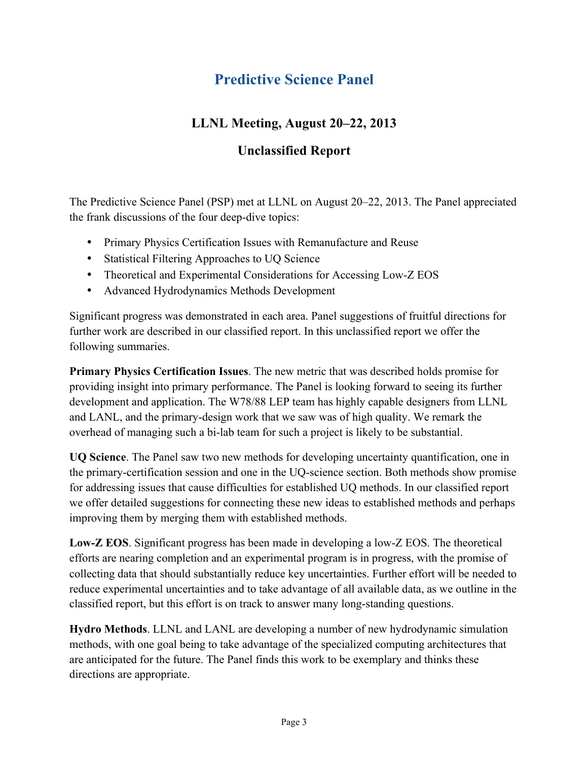# **Predictive Science Panel**

## **LLNL Meeting, August 20–22, 2013**

### **Unclassified Report**

The Predictive Science Panel (PSP) met at LLNL on August 20–22, 2013. The Panel appreciated the frank discussions of the four deep-dive topics:

- Primary Physics Certification Issues with Remanufacture and Reuse
- Statistical Filtering Approaches to UQ Science
- Theoretical and Experimental Considerations for Accessing Low-Z EOS
- Advanced Hydrodynamics Methods Development

Significant progress was demonstrated in each area. Panel suggestions of fruitful directions for further work are described in our classified report. In this unclassified report we offer the following summaries.

**Primary Physics Certification Issues**. The new metric that was described holds promise for providing insight into primary performance. The Panel is looking forward to seeing its further development and application. The W78/88 LEP team has highly capable designers from LLNL and LANL, and the primary-design work that we saw was of high quality. We remark the overhead of managing such a bi-lab team for such a project is likely to be substantial.

**UQ Science**. The Panel saw two new methods for developing uncertainty quantification, one in the primary-certification session and one in the UQ-science section. Both methods show promise for addressing issues that cause difficulties for established UQ methods. In our classified report we offer detailed suggestions for connecting these new ideas to established methods and perhaps improving them by merging them with established methods.

**Low-Z EOS**. Significant progress has been made in developing a low-Z EOS. The theoretical efforts are nearing completion and an experimental program is in progress, with the promise of collecting data that should substantially reduce key uncertainties. Further effort will be needed to reduce experimental uncertainties and to take advantage of all available data, as we outline in the classified report, but this effort is on track to answer many long-standing questions.

**Hydro Methods**. LLNL and LANL are developing a number of new hydrodynamic simulation methods, with one goal being to take advantage of the specialized computing architectures that are anticipated for the future. The Panel finds this work to be exemplary and thinks these directions are appropriate.